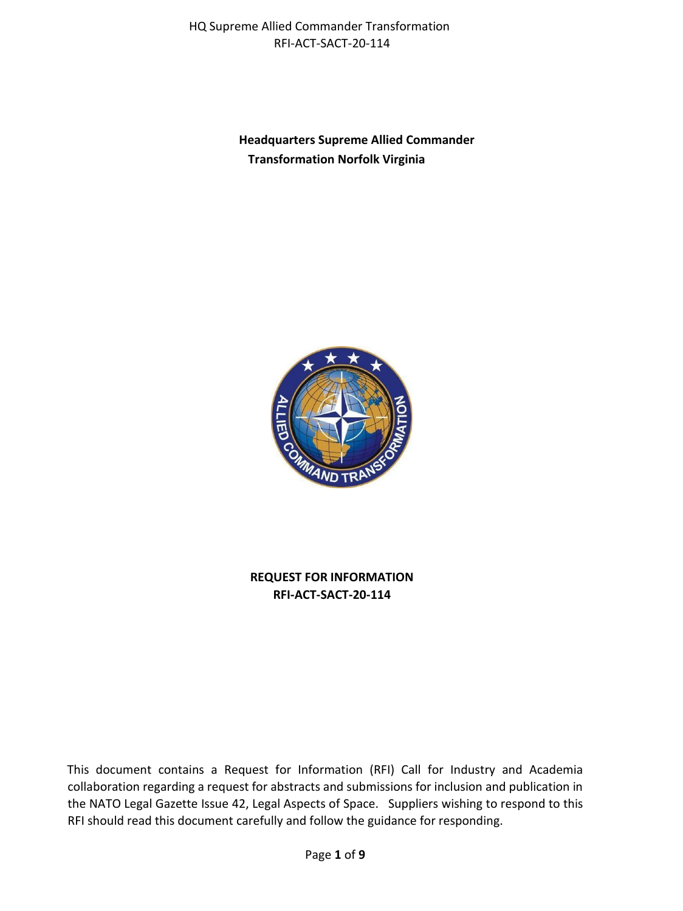> **Headquarters Supreme Allied Commander Transformation Norfolk Virginia**



**REQUEST FOR INFORMATION RFI-ACT-SACT-20-114**

This document contains a Request for Information (RFI) Call for Industry and Academia collaboration regarding a request for abstracts and submissions for inclusion and publication in the NATO Legal Gazette Issue 42, Legal Aspects of Space. Suppliers wishing to respond to this RFI should read this document carefully and follow the guidance for responding.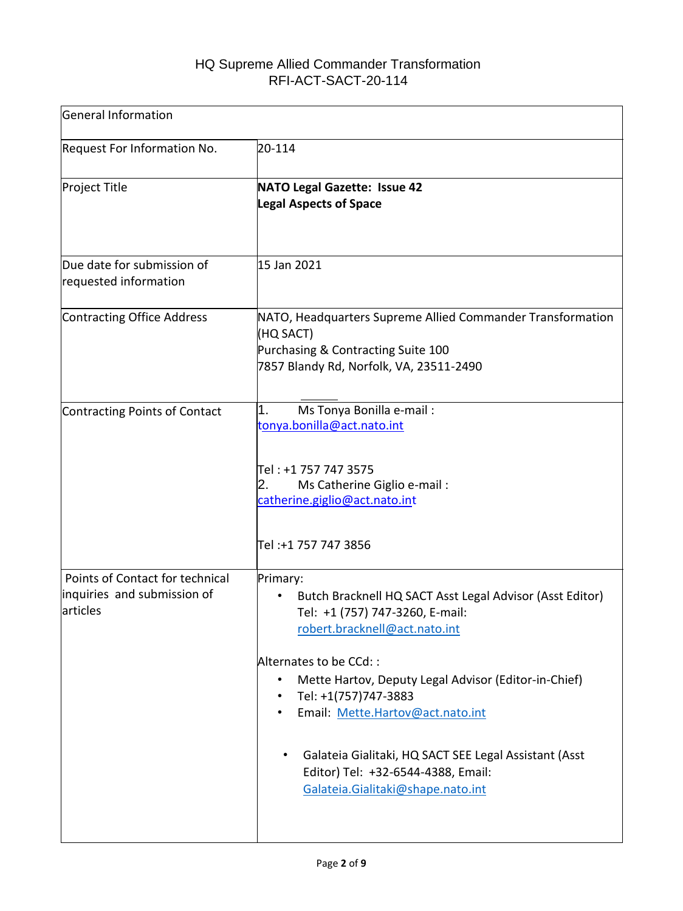| General Information                                                        |                                                                                                                                                                                                                                                                                                                                                                                                                                           |  |
|----------------------------------------------------------------------------|-------------------------------------------------------------------------------------------------------------------------------------------------------------------------------------------------------------------------------------------------------------------------------------------------------------------------------------------------------------------------------------------------------------------------------------------|--|
| <b>Request For Information No.</b>                                         | 20-114                                                                                                                                                                                                                                                                                                                                                                                                                                    |  |
| <b>Project Title</b>                                                       | <b>NATO Legal Gazette: Issue 42</b><br><b>Legal Aspects of Space</b>                                                                                                                                                                                                                                                                                                                                                                      |  |
| Due date for submission of<br>requested information                        | 15 Jan 2021                                                                                                                                                                                                                                                                                                                                                                                                                               |  |
| Contracting Office Address                                                 | NATO, Headquarters Supreme Allied Commander Transformation<br>(HQ SACT)<br>Purchasing & Contracting Suite 100<br>7857 Blandy Rd, Norfolk, VA, 23511-2490                                                                                                                                                                                                                                                                                  |  |
| Contracting Points of Contact                                              | Ms Tonya Bonilla e-mail:<br>1.<br>tonya.bonilla@act.nato.int<br>Tel : +1 757 747 3575<br>Ms Catherine Giglio e-mail:<br>2.<br>catherine.giglio@act.nato.int<br>Tel :+1 757 747 3856                                                                                                                                                                                                                                                       |  |
| Points of Contact for technical<br>inquiries and submission of<br>articles | Primary:<br>Butch Bracknell HQ SACT Asst Legal Advisor (Asst Editor)<br>٠<br>Tel: +1 (757) 747-3260, E-mail:<br>robert.bracknell@act.nato.int<br>Alternates to be CCd::<br>Mette Hartov, Deputy Legal Advisor (Editor-in-Chief)<br>٠<br>Tel: +1(757)747-3883<br>Email: Mette.Hartov@act.nato.int<br>٠<br>Galateia Gialitaki, HQ SACT SEE Legal Assistant (Asst<br>Editor) Tel: +32-6544-4388, Email:<br>Galateia.Gialitaki@shape.nato.int |  |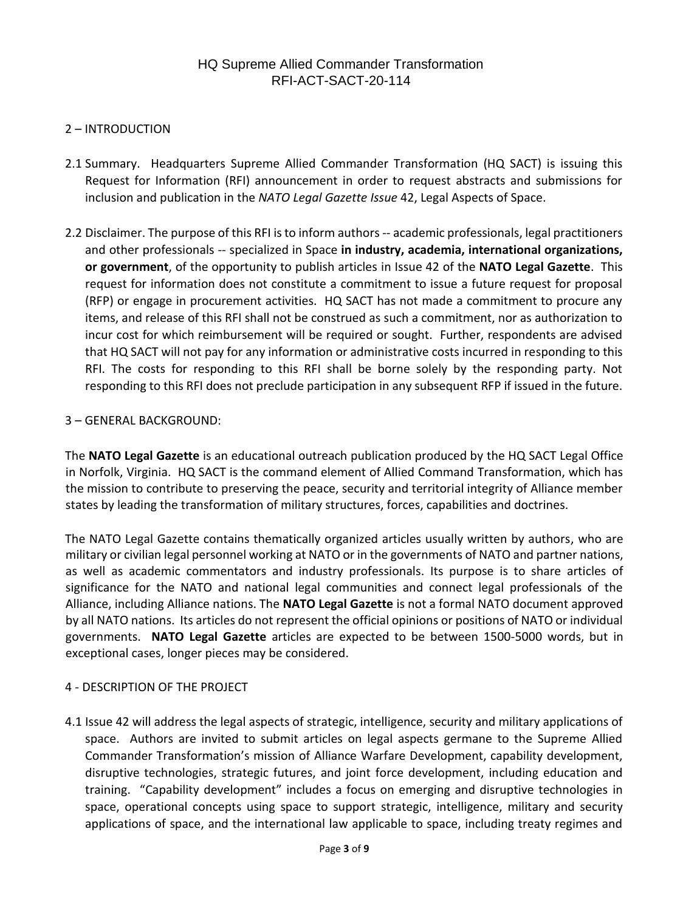### 2 – INTRODUCTION

- 2.1 Summary. Headquarters Supreme Allied Commander Transformation (HQ SACT) is issuing this Request for Information (RFI) announcement in order to request abstracts and submissions for inclusion and publication in the *NATO Legal Gazette Issue* 42, Legal Aspects of Space.
- 2.2 Disclaimer. The purpose of this RFI is to inform authors -- academic professionals, legal practitioners and other professionals -- specialized in Space **in industry, academia, international organizations, or government**, of the opportunity to publish articles in Issue 42 of the **NATO Legal Gazette**. This request for information does not constitute a commitment to issue a future request for proposal (RFP) or engage in procurement activities. HQ SACT has not made a commitment to procure any items, and release of this RFI shall not be construed as such a commitment, nor as authorization to incur cost for which reimbursement will be required or sought. Further, respondents are advised that HQ SACT will not pay for any information or administrative costs incurred in responding to this RFI. The costs for responding to this RFI shall be borne solely by the responding party. Not responding to this RFI does not preclude participation in any subsequent RFP if issued in the future.

### 3 – GENERAL BACKGROUND:

The **[NATO Legal Gazette](https://www.act.nato.int/images/stories/media/doclibrary/legal_gazette_38.pdf)** [i](https://www.act.nato.int/images/stories/media/doclibrary/legal_gazette_38.pdf)s an educational outreach publication produced by the HQ SACT Legal Office in Norfolk, Virginia. HQ SACT is the command element of Allied Command Transformation, which has the mission to contribute to preserving the peace, security and territorial integrity of Alliance member states by leading the transformation of military structures, forces, capabilities and doctrines.

The NATO Legal Gazette contains thematically organized articles usually written by authors, who are military or civilian legal personnel working at NATO or in the governments of NATO and partner nations, as well as academic commentators and industry professionals. Its purpose is to share articles of significance for the NATO and national legal communities and connect legal professionals of the Alliance, including Alliance nations. The **NATO Legal Gazette** is not a formal NATO document approved by all NATO nations. Its articles do not represent the official opinions or positions of NATO or individual governments. **NATO Legal Gazette** articles are expected to be between 1500-5000 words, but in exceptional cases, longer pieces may be considered.

### 4 - DESCRIPTION OF THE PROJECT

4.1 Issue 42 will address the legal aspects of strategic, intelligence, security and military applications of space. Authors are invited to submit articles on legal aspects germane to the Supreme Allied Commander Transformation's mission of Alliance Warfare Development, capability development, disruptive technologies, strategic futures, and joint force development, including education and training. "Capability development" includes a focus on emerging and disruptive technologies in space, operational concepts using space to support strategic, intelligence, military and security applications of space, and the international law applicable to space, including treaty regimes and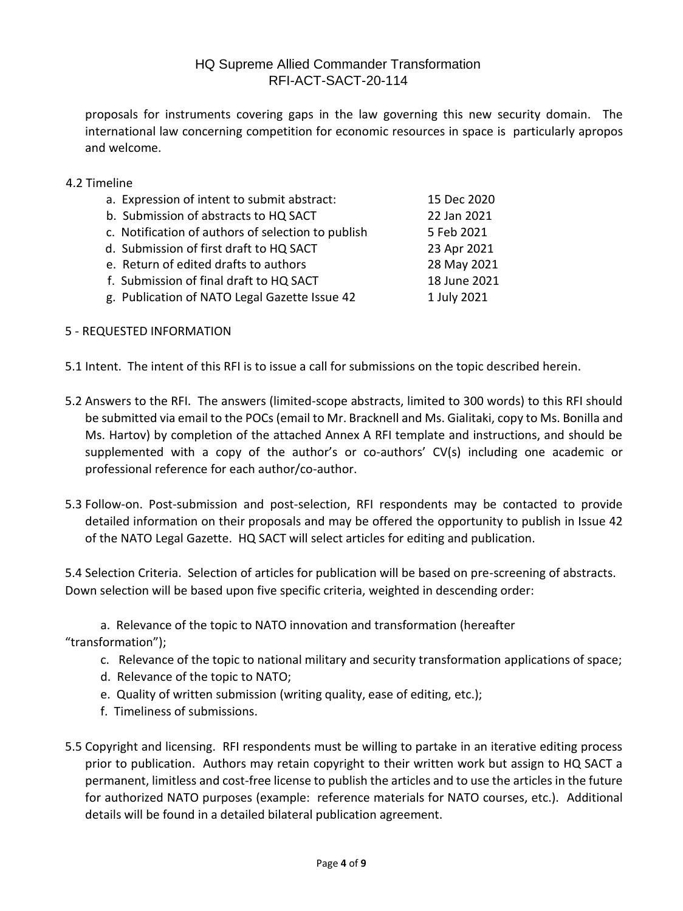proposals for instruments covering gaps in the law governing this new security domain. The international law concerning competition for economic resources in space is particularly apropos and welcome.

### 4.2 Timeline

| a. Expression of intent to submit abstract:        | 15 Dec 2020  |
|----------------------------------------------------|--------------|
| b. Submission of abstracts to HQ SACT              | 22 Jan 2021  |
| c. Notification of authors of selection to publish | 5 Feb 2021   |
| d. Submission of first draft to HQ SACT            | 23 Apr 2021  |
| e. Return of edited drafts to authors              | 28 May 2021  |
| f. Submission of final draft to HQ SACT            | 18 June 2021 |
| g. Publication of NATO Legal Gazette Issue 42      | 1 July 2021  |
|                                                    |              |

### 5 - REQUESTED INFORMATION

- 5.1 Intent. The intent of this RFI is to issue a call for submissions on the topic described herein.
- 5.2 Answers to the RFI. The answers (limited-scope abstracts, limited to 300 words) to this RFI should be submitted via email to the POCs (email to Mr. Bracknell and Ms. Gialitaki, copy to Ms. Bonilla and Ms. Hartov) by completion of the attached Annex A RFI template and instructions, and should be supplemented with a copy of the author's or co-authors' CV(s) including one academic or professional reference for each author/co-author.
- 5.3 Follow-on. Post-submission and post-selection, RFI respondents may be contacted to provide detailed information on their proposals and may be offered the opportunity to publish in Issue 42 of the NATO Legal Gazette. HQ SACT will select articles for editing and publication.

5.4 Selection Criteria. Selection of articles for publication will be based on pre-screening of abstracts. Down selection will be based upon five specific criteria, weighted in descending order:

a. Relevance of the topic to NATO innovation and transformation (hereafter

"transformation");

- c. Relevance of the topic to national military and security transformation applications of space;
- d. Relevance of the topic to NATO;
- e. Quality of written submission (writing quality, ease of editing, etc.);
- f. Timeliness of submissions.
- 5.5 Copyright and licensing. RFI respondents must be willing to partake in an iterative editing process prior to publication. Authors may retain copyright to their written work but assign to HQ SACT a permanent, limitless and cost-free license to publish the articles and to use the articles in the future for authorized NATO purposes (example: reference materials for NATO courses, etc.). Additional details will be found in a detailed bilateral publication agreement.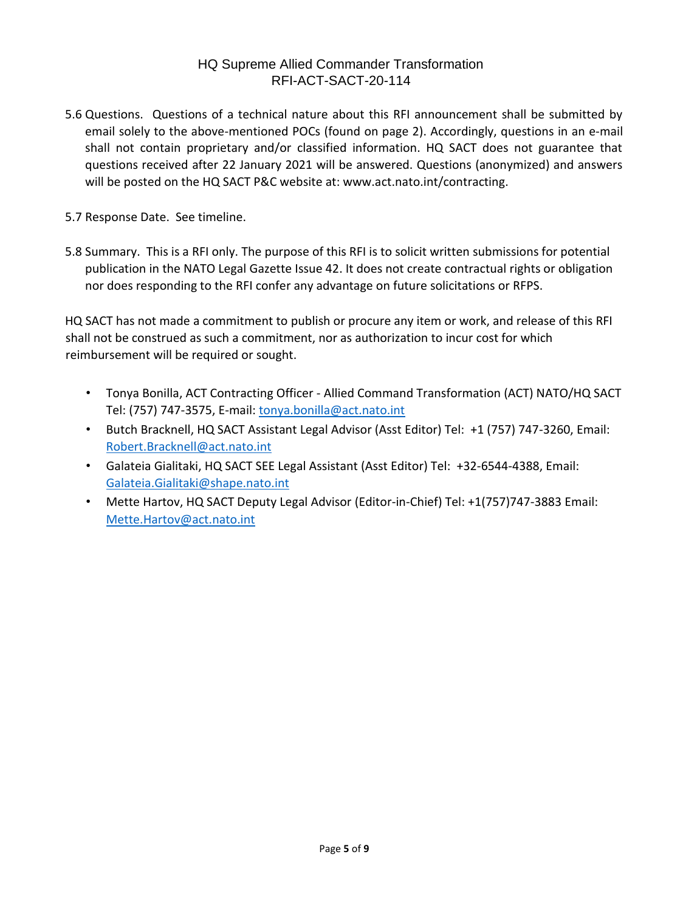- 5.6 Questions. Questions of a technical nature about this RFI announcement shall be submitted by email solely to the above-mentioned POCs (found on page 2). Accordingly, questions in an e-mail shall not contain proprietary and/or classified information. HQ SACT does not guarantee that questions received after 22 January 2021 will be answered. Questions (anonymized) and answers will be posted on the HQ SACT P&C website at: www.act.nato.int/contracting.
- 5.7 Response Date. See timeline.
- 5.8 Summary. This is a RFI only. The purpose of this RFI is to solicit written submissions for potential publication in the NATO Legal Gazette Issue 42. It does not create contractual rights or obligation nor does responding to the RFI confer any advantage on future solicitations or RFPS.

HQ SACT has not made a commitment to publish or procure any item or work, and release of this RFI shall not be construed as such a commitment, nor as authorization to incur cost for which reimbursement will be required or sought.

- Tonya Bonilla, ACT Contracting Officer Allied Command Transformation (ACT) NATO/HQ SACT Tel: (757) 747-3575, E-mail: tonya.bonilla@act.nato.int
- Butch Bracknell, HQ SACT Assistant Legal Advisor (Asst Editor) Tel: +1 (757) 747-3260, Email: Robert.Bracknell@act.nato.int
- Galateia Gialitaki, HQ SACT SEE Legal Assistant (Asst Editor) Tel: +32-6544-4388, Email: [Galateia.Gialitaki@shape.nato.int](mailto:Galateia.Gialitaki@shape.nato.int)
- Mette Hartov, HQ SACT Deputy Legal Advisor (Editor-in-Chief) Tel: +1(757)747-3883 Email: Mette.Hartov@act.nato.int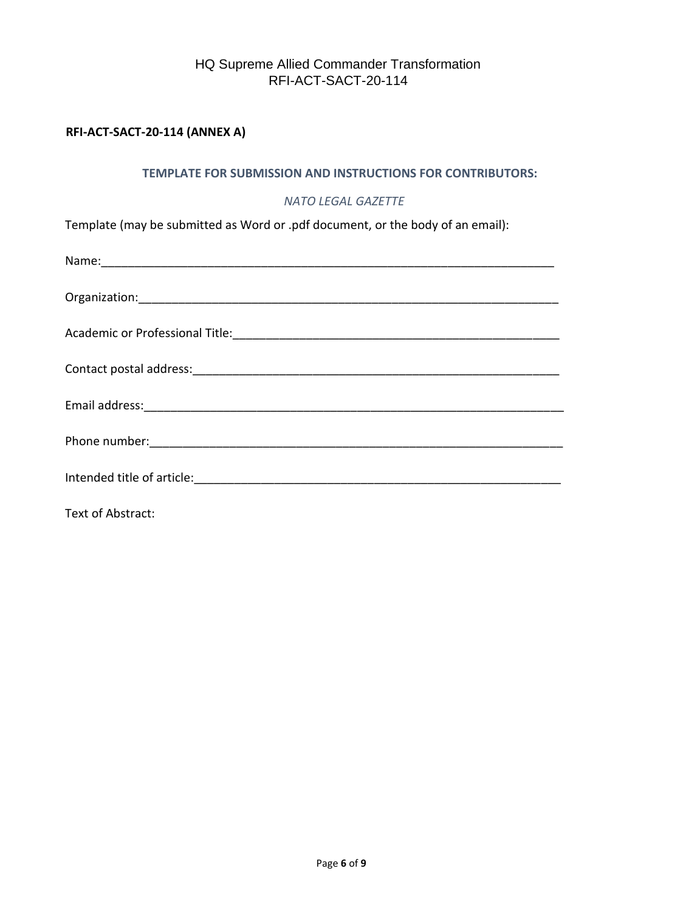### **RFI-ACT-SACT-20-114 (ANNEX A)**

#### **TEMPLATE FOR SUBMISSION AND INSTRUCTIONS FOR CONTRIBUTORS:**

#### *NATO LEGAL GAZETTE*

Template (may be submitted as Word or .pdf document, or the body of an email):

| Intended title of article: The Communication of the Communication of the Communication of the Communication of |
|----------------------------------------------------------------------------------------------------------------|
|                                                                                                                |

Text of Abstract: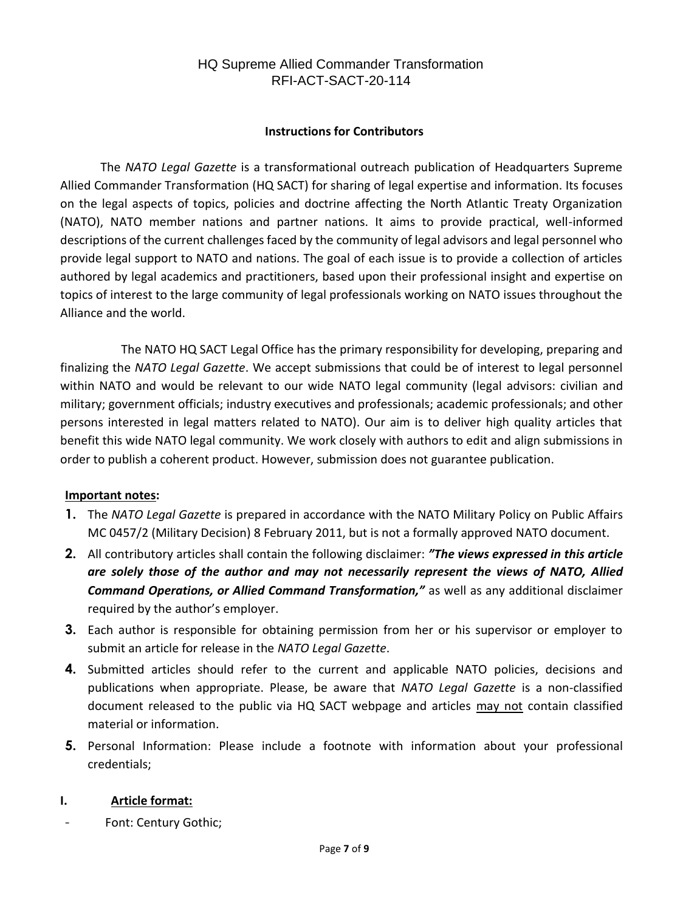### **Instructions for Contributors**

The *NATO Legal Gazette* is a transformational outreach publication of Headquarters Supreme Allied Commander Transformation (HQ SACT) for sharing of legal expertise and information. Its focuses on the legal aspects of topics, policies and doctrine affecting the North Atlantic Treaty Organization (NATO), NATO member nations and partner nations. It aims to provide practical, well-informed descriptions of the current challenges faced by the community of legal advisors and legal personnel who provide legal support to NATO and nations. The goal of each issue is to provide a collection of articles authored by legal academics and practitioners, based upon their professional insight and expertise on topics of interest to the large community of legal professionals working on NATO issues throughout the Alliance and the world.

The NATO HQ SACT Legal Office has the primary responsibility for developing, preparing and finalizing the *NATO Legal Gazette*. We accept submissions that could be of interest to legal personnel within NATO and would be relevant to our wide NATO legal community (legal advisors: civilian and military; government officials; industry executives and professionals; academic professionals; and other persons interested in legal matters related to NATO). Our aim is to deliver high quality articles that benefit this wide NATO legal community. We work closely with authors to edit and align submissions in order to publish a coherent product. However, submission does not guarantee publication.

### **Important notes:**

- **1.** The *NATO Legal Gazette* is prepared in accordance with the NATO Military Policy on Public Affairs MC 0457/2 (Military Decision) 8 February 2011, but is not a formally approved NATO document.
- **2.** All contributory articles shall contain the following disclaimer: *"The views expressed in this article are solely those of the author and may not necessarily represent the views of NATO, Allied Command Operations, or Allied Command Transformation,"* as well as any additional disclaimer required by the author's employer.
- **3.** Each author is responsible for obtaining permission from her or his supervisor or employer to submit an article for release in the *NATO Legal Gazette*.
- **4.** Submitted articles should refer to the current and applicable NATO policies, decisions and publications when appropriate. Please, be aware that *NATO Legal Gazette* is a non-classified document released to the public via HQ SACT webpage and articles may not contain classified material or information.
- **5.** Personal Information: Please include a footnote with information about your professional credentials;

### **I. Article format:**

- Font: Century Gothic;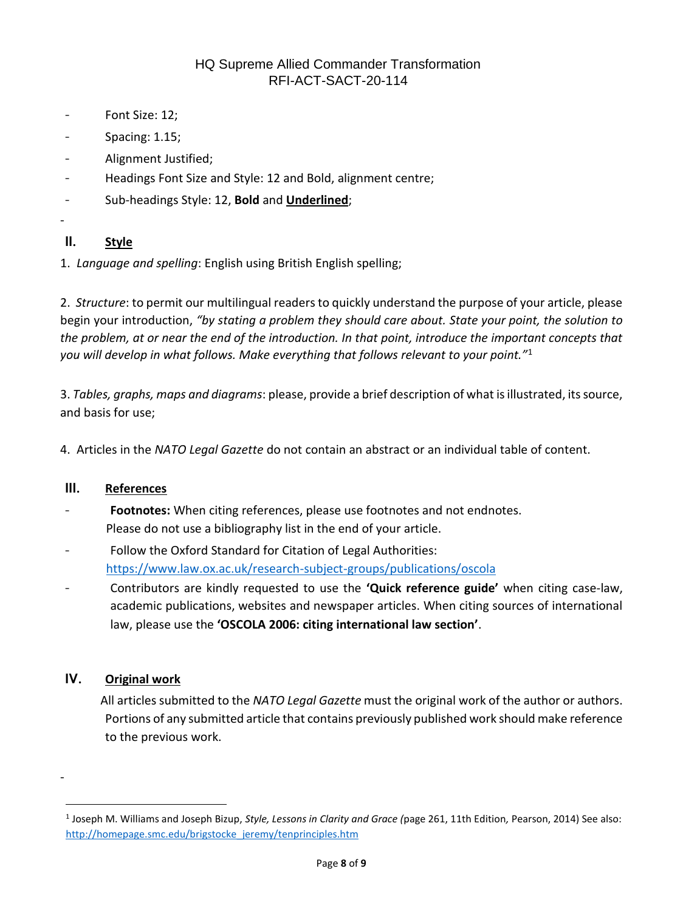- Font Size: 12;
- Spacing: 1.15;
- Alignment Justified;
- Headings Font Size and Style: 12 and Bold, alignment centre;
- Sub-headings Style: 12, **Bold** and **Underlined**;

# **II. Style**

-

1. *Language and spelling*: English using British English spelling;

2. *Structure*: to permit our multilingual readers to quickly understand the purpose of your article, please begin your introduction, *"by stating a problem they should care about. State your point, the solution to the problem, at or near the end of the introduction. In that point, introduce the important concepts that you will develop in what follows. Make everything that follows relevant to your point."*<sup>1</sup>

3. *Tables, graphs, maps and diagrams*: please, provide a brief description of what is illustrated, its source, and basis for use;

4. Articles in the *NATO Legal Gazette* do not contain an abstract or an individual table of content.

### **III. References**

- Footnotes: When citing references, please use footnotes and not endnotes. Please do not use a bibliography list in the end of your article.
- Follow the Oxford Standard for Citation of Legal Authorities: <https://www.law.ox.ac.uk/research-subject-groups/publications/oscola>
- Contributors are kindly requested to use the **'Quick reference guide'** when citing case-law, academic publications, websites and newspaper articles. When citing sources of international law, please use the **'OSCOLA 2006: citing international law section'**.

### **IV. Original work**

-

 $\overline{a}$ 

All articles submitted to the *NATO Legal Gazette* must the original work of the author or authors. Portions of any submitted article that contains previously published work should make reference to the previous work.

<sup>1</sup> Joseph M. Williams and Joseph Bizup, *Style, Lessons in Clarity and Grace (*page 261, 11th Edition*,* Pearson, 2014) See also: [http://homepage.smc.edu/brigstocke\\_jeremy/tenprinciples.htm](http://homepage.smc.edu/brigstocke_jeremy/tenprinciples.htm)